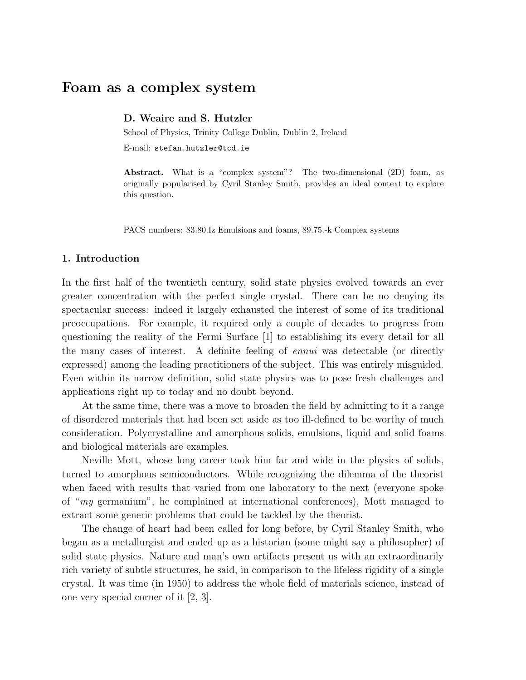# Foam as a complex system

D. Weaire and S. Hutzler

School of Physics, Trinity College Dublin, Dublin 2, Ireland

E-mail: stefan.hutzler@tcd.ie

Abstract. What is a "complex system"? The two-dimensional (2D) foam, as originally popularised by Cyril Stanley Smith, provides an ideal context to explore this question.

PACS numbers: 83.80.Iz Emulsions and foams, 89.75.-k Complex systems

#### 1. Introduction

In the first half of the twentieth century, solid state physics evolved towards an ever greater concentration with the perfect single crystal. There can be no denying its spectacular success: indeed it largely exhausted the interest of some of its traditional preoccupations. For example, it required only a couple of decades to progress from questioning the reality of the Fermi Surface [1] to establishing its every detail for all the many cases of interest. A definite feeling of ennui was detectable (or directly expressed) among the leading practitioners of the subject. This was entirely misguided. Even within its narrow definition, solid state physics was to pose fresh challenges and applications right up to today and no doubt beyond.

At the same time, there was a move to broaden the field by admitting to it a range of disordered materials that had been set aside as too ill-defined to be worthy of much consideration. Polycrystalline and amorphous solids, emulsions, liquid and solid foams and biological materials are examples.

Neville Mott, whose long career took him far and wide in the physics of solids, turned to amorphous semiconductors. While recognizing the dilemma of the theorist when faced with results that varied from one laboratory to the next (everyone spoke of "my germanium", he complained at international conferences), Mott managed to extract some generic problems that could be tackled by the theorist.

The change of heart had been called for long before, by Cyril Stanley Smith, who began as a metallurgist and ended up as a historian (some might say a philosopher) of solid state physics. Nature and man's own artifacts present us with an extraordinarily rich variety of subtle structures, he said, in comparison to the lifeless rigidity of a single crystal. It was time (in 1950) to address the whole field of materials science, instead of one very special corner of it [2, 3].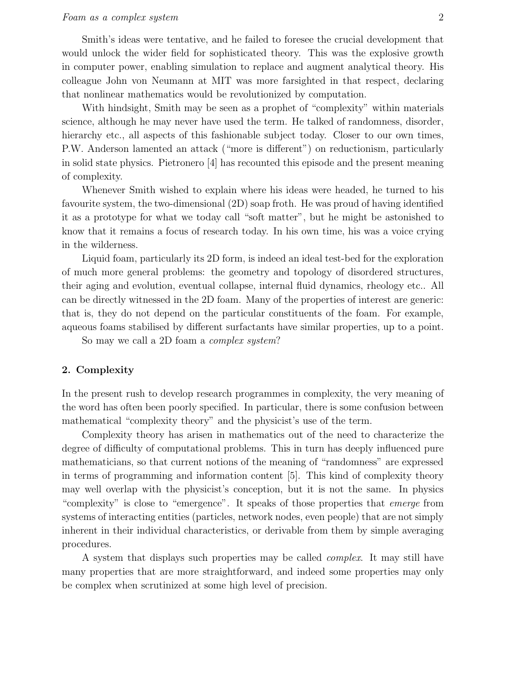Smith's ideas were tentative, and he failed to foresee the crucial development that would unlock the wider field for sophisticated theory. This was the explosive growth in computer power, enabling simulation to replace and augment analytical theory. His colleague John von Neumann at MIT was more farsighted in that respect, declaring that nonlinear mathematics would be revolutionized by computation.

With hindsight, Smith may be seen as a prophet of "complexity" within materials science, although he may never have used the term. He talked of randomness, disorder, hierarchy etc., all aspects of this fashionable subject today. Closer to our own times, P.W. Anderson lamented an attack ("more is different") on reductionism, particularly in solid state physics. Pietronero [4] has recounted this episode and the present meaning of complexity.

Whenever Smith wished to explain where his ideas were headed, he turned to his favourite system, the two-dimensional (2D) soap froth. He was proud of having identified it as a prototype for what we today call "soft matter", but he might be astonished to know that it remains a focus of research today. In his own time, his was a voice crying in the wilderness.

Liquid foam, particularly its 2D form, is indeed an ideal test-bed for the exploration of much more general problems: the geometry and topology of disordered structures, their aging and evolution, eventual collapse, internal fluid dynamics, rheology etc.. All can be directly witnessed in the 2D foam. Many of the properties of interest are generic: that is, they do not depend on the particular constituents of the foam. For example, aqueous foams stabilised by different surfactants have similar properties, up to a point.

So may we call a 2D foam a complex system?

## 2. Complexity

In the present rush to develop research programmes in complexity, the very meaning of the word has often been poorly specified. In particular, there is some confusion between mathematical "complexity theory" and the physicist's use of the term.

Complexity theory has arisen in mathematics out of the need to characterize the degree of difficulty of computational problems. This in turn has deeply influenced pure mathematicians, so that current notions of the meaning of "randomness" are expressed in terms of programming and information content [5]. This kind of complexity theory may well overlap with the physicist's conception, but it is not the same. In physics "complexity" is close to "emergence". It speaks of those properties that emerge from systems of interacting entities (particles, network nodes, even people) that are not simply inherent in their individual characteristics, or derivable from them by simple averaging procedures.

A system that displays such properties may be called complex. It may still have many properties that are more straightforward, and indeed some properties may only be complex when scrutinized at some high level of precision.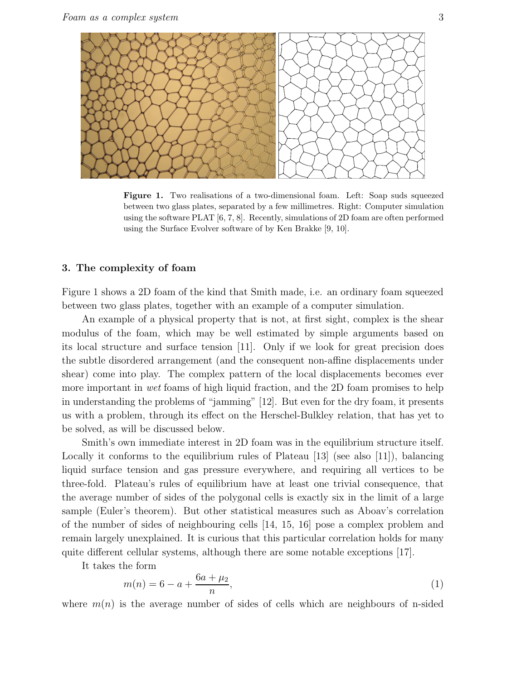

Figure 1. Two realisations of a two-dimensional foam. Left: Soap suds squeezed between two glass plates, separated by a few millimetres. Right: Computer simulation using the software PLAT [6, 7, 8]. Recently, simulations of 2D foam are often performed using the Surface Evolver software of by Ken Brakke [9, 10].

## 3. The complexity of foam

Figure 1 shows a 2D foam of the kind that Smith made, i.e. an ordinary foam squeezed between two glass plates, together with an example of a computer simulation.

An example of a physical property that is not, at first sight, complex is the shear modulus of the foam, which may be well estimated by simple arguments based on its local structure and surface tension [11]. Only if we look for great precision does the subtle disordered arrangement (and the consequent non-affine displacements under shear) come into play. The complex pattern of the local displacements becomes ever more important in wet foams of high liquid fraction, and the 2D foam promises to help in understanding the problems of "jamming" [12]. But even for the dry foam, it presents us with a problem, through its effect on the Herschel-Bulkley relation, that has yet to be solved, as will be discussed below.

Smith's own immediate interest in 2D foam was in the equilibrium structure itself. Locally it conforms to the equilibrium rules of Plateau [13] (see also [11]), balancing liquid surface tension and gas pressure everywhere, and requiring all vertices to be three-fold. Plateau's rules of equilibrium have at least one trivial consequence, that the average number of sides of the polygonal cells is exactly six in the limit of a large sample (Euler's theorem). But other statistical measures such as Aboav's correlation of the number of sides of neighbouring cells [14, 15, 16] pose a complex problem and remain largely unexplained. It is curious that this particular correlation holds for many quite different cellular systems, although there are some notable exceptions [17].

It takes the form

$$
m(n) = 6 - a + \frac{6a + \mu_2}{n},
$$
\n(1)

where  $m(n)$  is the average number of sides of cells which are neighbours of n-sided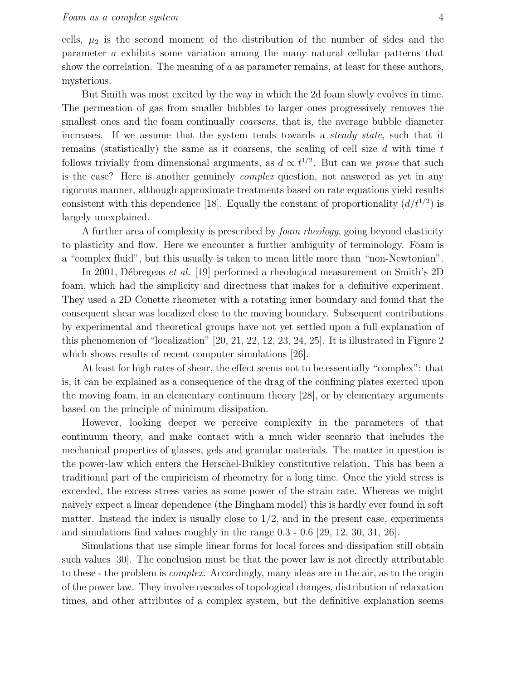cells,  $\mu_2$  is the second moment of the distribution of the number of sides and the parameter a exhibits some variation among the many natural cellular patterns that show the correlation. The meaning of  $a$  as parameter remains, at least for these authors, mysterious.

But Smith was most excited by the way in which the 2d foam slowly evolves in time. The permeation of gas from smaller bubbles to larger ones progressively removes the smallest ones and the foam continually *coarsens*, that is, the average bubble diameter increases. If we assume that the system tends towards a steady state, such that it remains (statistically) the same as it coarsens, the scaling of cell size  $d$  with time  $t$ follows trivially from dimensional arguments, as  $d \propto t^{1/2}$ . But can we *prove* that such is the case? Here is another genuinely complex question, not answered as yet in any rigorous manner, although approximate treatments based on rate equations yield results consistent with this dependence [18]. Equally the constant of proportionality  $(d/t^{1/2})$  is largely unexplained.

A further area of complexity is prescribed by foam rheology, going beyond elasticity to plasticity and flow. Here we encounter a further ambiguity of terminology. Foam is a "complex fluid", but this usually is taken to mean little more than "non-Newtonian".

In 2001, Débregeas et al. [19] performed a rheological measurement on Smith's 2D foam, which had the simplicity and directness that makes for a definitive experiment. They used a 2D Couette rheometer with a rotating inner boundary and found that the consequent shear was localized close to the moving boundary. Subsequent contributions by experimental and theoretical groups have not yet settled upon a full explanation of this phenomenon of "localization" [20, 21, 22, 12, 23, 24, 25]. It is illustrated in Figure 2 which shows results of recent computer simulations [26].

At least for high rates of shear, the effect seems not to be essentially "complex": that is, it can be explained as a consequence of the drag of the confining plates exerted upon the moving foam, in an elementary continuum theory [28], or by elementary arguments based on the principle of minimum dissipation.

However, looking deeper we perceive complexity in the parameters of that continuum theory, and make contact with a much wider scenario that includes the mechanical properties of glasses, gels and granular materials. The matter in question is the power-law which enters the Herschel-Bulkley constitutive relation. This has been a traditional part of the empiricism of rheometry for a long time. Once the yield stress is exceeded, the excess stress varies as some power of the strain rate. Whereas we might naively expect a linear dependence (the Bingham model) this is hardly ever found in soft matter. Instead the index is usually close to  $1/2$ , and in the present case, experiments and simulations find values roughly in the range 0.3 - 0.6 [29, 12, 30, 31, 26].

Simulations that use simple linear forms for local forces and dissipation still obtain such values [30]. The conclusion must be that the power law is not directly attributable to these - the problem is complex. Accordingly, many ideas are in the air, as to the origin of the power law. They involve cascades of topological changes, distribution of relaxation times, and other attributes of a complex system, but the definitive explanation seems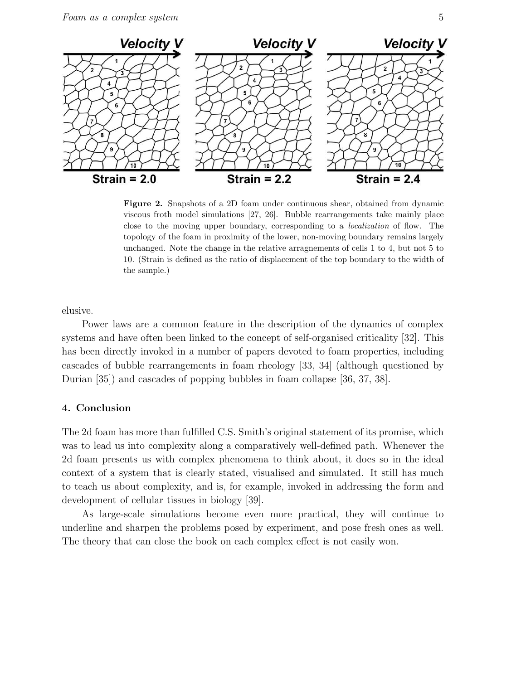

Figure 2. Snapshots of a 2D foam under continuous shear, obtained from dynamic viscous froth model simulations [27, 26]. Bubble rearrangements take mainly place close to the moving upper boundary, corresponding to a localization of flow. The topology of the foam in proximity of the lower, non-moving boundary remains largely unchanged. Note the change in the relative arragnements of cells 1 to 4, but not 5 to 10. (Strain is defined as the ratio of displacement of the top boundary to the width of the sample.)

elusive.

Power laws are a common feature in the description of the dynamics of complex systems and have often been linked to the concept of self-organised criticality [32]. This has been directly invoked in a number of papers devoted to foam properties, including cascades of bubble rearrangements in foam rheology [33, 34] (although questioned by Durian [35]) and cascades of popping bubbles in foam collapse [36, 37, 38].

#### 4. Conclusion

The 2d foam has more than fulfilled C.S. Smith's original statement of its promise, which was to lead us into complexity along a comparatively well-defined path. Whenever the 2d foam presents us with complex phenomena to think about, it does so in the ideal context of a system that is clearly stated, visualised and simulated. It still has much to teach us about complexity, and is, for example, invoked in addressing the form and development of cellular tissues in biology [39].

As large-scale simulations become even more practical, they will continue to underline and sharpen the problems posed by experiment, and pose fresh ones as well. The theory that can close the book on each complex effect is not easily won.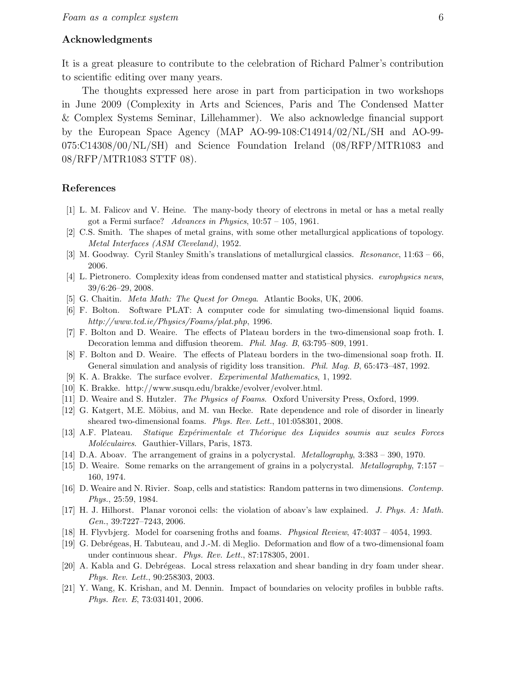#### Acknowledgments

It is a great pleasure to contribute to the celebration of Richard Palmer's contribution to scientific editing over many years.

The thoughts expressed here arose in part from participation in two workshops in June 2009 (Complexity in Arts and Sciences, Paris and The Condensed Matter & Complex Systems Seminar, Lillehammer). We also acknowledge financial support by the European Space Agency (MAP AO-99-108:C14914/02/NL/SH and AO-99- 075:C14308/00/NL/SH) and Science Foundation Ireland (08/RFP/MTR1083 and 08/RFP/MTR1083 STTF 08).

## References

- [1] L. M. Falicov and V. Heine. The many-body theory of electrons in metal or has a metal really got a Fermi surface? Advances in Physics,  $10:57 - 105$ , 1961.
- [2] C.S. Smith. The shapes of metal grains, with some other metallurgical applications of topology. Metal Interfaces (ASM Cleveland), 1952.
- [3] M. Goodway. Cyril Stanley Smith's translations of metallurgical classics. Resonance, 11:63 66, 2006.
- [4] L. Pietronero. Complexity ideas from condensed matter and statistical physics. *europhysics news*, 39/6:26–29, 2008.
- [5] G. Chaitin. Meta Math: The Quest for Omega. Atlantic Books, UK, 2006.
- [6] F. Bolton. Software PLAT: A computer code for simulating two-dimensional liquid foams. http://www.tcd.ie/Physics/Foams/plat.php, 1996.
- [7] F. Bolton and D. Weaire. The effects of Plateau borders in the two-dimensional soap froth. I. Decoration lemma and diffusion theorem. Phil. Mag. B, 63:795–809, 1991.
- [8] F. Bolton and D. Weaire. The effects of Plateau borders in the two-dimensional soap froth. II. General simulation and analysis of rigidity loss transition. Phil. Mag. B, 65:473–487, 1992.
- [9] K. A. Brakke. The surface evolver. Experimental Mathematics, 1, 1992.
- [10] K. Brakke. http://www.susqu.edu/brakke/evolver/evolver.html.
- [11] D. Weaire and S. Hutzler. The Physics of Foams. Oxford University Press, Oxford, 1999.
- [12] G. Katgert, M.E. Möbius, and M. van Hecke. Rate dependence and role of disorder in linearly sheared two-dimensional foams. Phys. Rev. Lett., 101:058301, 2008.
- [13] A.F. Plateau. Statique Expérimentale et Théorique des Liquides soumis aux seules Forces Moléculaires. Gauthier-Villars, Paris, 1873.
- [14] D.A. Aboav. The arrangement of grains in a polycrystal. Metallography, 3:383 390, 1970.
- [15] D. Weaire. Some remarks on the arrangement of grains in a polycrystal. Metallography, 7:157 160, 1974.
- [16] D. Weaire and N. Rivier. Soap, cells and statistics: Random patterns in two dimensions. Contemp. Phys., 25:59, 1984.
- [17] H. J. Hilhorst. Planar voronoi cells: the violation of aboav's law explained. J. Phys. A: Math. Gen., 39:7227–7243, 2006.
- [18] H. Flyvbjerg. Model for coarsening froths and foams. Physical Review, 47:4037 4054, 1993.
- [19] G. Debrégeas, H. Tabuteau, and J.-M. di Meglio. Deformation and flow of a two-dimensional foam under continuous shear. Phys. Rev. Lett., 87:178305, 2001.
- [20] A. Kabla and G. Debrégeas. Local stress relaxation and shear banding in dry foam under shear. Phys. Rev. Lett., 90:258303, 2003.
- [21] Y. Wang, K. Krishan, and M. Dennin. Impact of boundaries on velocity profiles in bubble rafts. Phys. Rev. E, 73:031401, 2006.